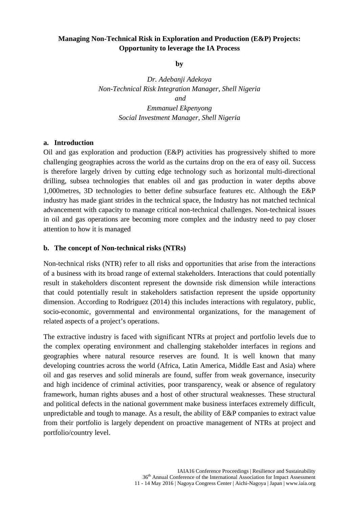## **Managing Non-Technical Risk in Exploration and Production (E&P) Projects: Opportunity to leverage the IA Process**

**by**

*Dr. Adebanji Adekoya Non-Technical Risk Integration Manager, Shell Nigeria and Emmanuel Ekpenyong Social Investment Manager, Shell Nigeria*

#### **a. Introduction**

Oil and gas exploration and production (E&P) activities has progressively shifted to more challenging geographies across the world as the curtains drop on the era of easy oil. Success is therefore largely driven by cutting edge technology such as horizontal multi-directional drilling, subsea technologies that enables oil and gas production in water depths above 1,000metres, 3D technologies to better define subsurface features etc. Although the E&P industry has made giant strides in the technical space, the Industry has not matched technical advancement with capacity to manage critical non-technical challenges. Non-technical issues in oil and gas operations are becoming more complex and the industry need to pay closer attention to how it is managed

#### **b. The concept of Non-technical risks (NTRs)**

Non-technical risks (NTR) refer to all risks and opportunities that arise from the interactions of a business with its broad range of external stakeholders. Interactions that could potentially result in stakeholders discontent represent the downside risk dimension while interactions that could potentially result in stakeholders satisfaction represent the upside opportunity dimension. According to Rodriguez (2014) this includes interactions with regulatory, public, socio-economic, governmental and environmental organizations, for the management of related aspects of a project's operations.

The extractive industry is faced with significant NTRs at project and portfolio levels due to the complex operating environment and challenging stakeholder interfaces in regions and geographies where natural resource reserves are found. It is well known that many developing countries across the world (Africa, Latin America, Middle East and Asia) where oil and gas reserves and solid minerals are found, suffer from weak governance, insecurity and high incidence of criminal activities, poor transparency, weak or absence of regulatory framework, human rights abuses and a host of other structural weaknesses. These structural and political defects in the national government make business interfaces extremely difficult, unpredictable and tough to manage. As a result, the ability of E&P companies to extract value from their portfolio is largely dependent on proactive management of NTRs at project and portfolio/country level.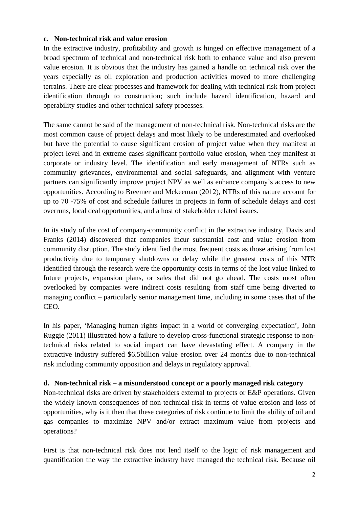#### **c. Non-technical risk and value erosion**

In the extractive industry, profitability and growth is hinged on effective management of a broad spectrum of technical and non-technical risk both to enhance value and also prevent value erosion. It is obvious that the industry has gained a handle on technical risk over the years especially as oil exploration and production activities moved to more challenging terrains. There are clear processes and framework for dealing with technical risk from project identification through to construction; such include hazard identification, hazard and operability studies and other technical safety processes.

The same cannot be said of the management of non-technical risk. Non-technical risks are the most common cause of project delays and most likely to be underestimated and overlooked but have the potential to cause significant erosion of project value when they manifest at project level and in extreme cases significant portfolio value erosion, when they manifest at corporate or industry level. The identification and early management of NTRs such as community grievances, environmental and social safeguards, and alignment with venture partners can significantly improve project NPV as well as enhance company's access to new opportunities. According to Breemer and Mckeeman (2012), NTRs of this nature account for up to 70 -75% of cost and schedule failures in projects in form of schedule delays and cost overruns, local deal opportunities, and a host of stakeholder related issues.

In its study of the cost of company-community conflict in the extractive industry, Davis and Franks (2014) discovered that companies incur substantial cost and value erosion from community disruption. The study identified the most frequent costs as those arising from lost productivity due to temporary shutdowns or delay while the greatest costs of this NTR identified through the research were the opportunity costs in terms of the lost value linked to future projects, expansion plans, or sales that did not go ahead. The costs most often overlooked by companies were indirect costs resulting from staff time being diverted to managing conflict – particularly senior management time, including in some cases that of the CEO.

In his paper, 'Managing human rights impact in a world of converging expectation', John Ruggie (2011) illustrated how a failure to develop cross-functional strategic response to nontechnical risks related to social impact can have devastating effect. A company in the extractive industry suffered \$6.5billion value erosion over 24 months due to non-technical risk including community opposition and delays in regulatory approval.

## **d. Non-technical risk – a misunderstood concept or a poorly managed risk category**

Non-technical risks are driven by stakeholders external to projects or E&P operations. Given the widely known consequences of non-technical risk in terms of value erosion and loss of opportunities, why is it then that these categories of risk continue to limit the ability of oil and gas companies to maximize NPV and/or extract maximum value from projects and operations?

First is that non-technical risk does not lend itself to the logic of risk management and quantification the way the extractive industry have managed the technical risk. Because oil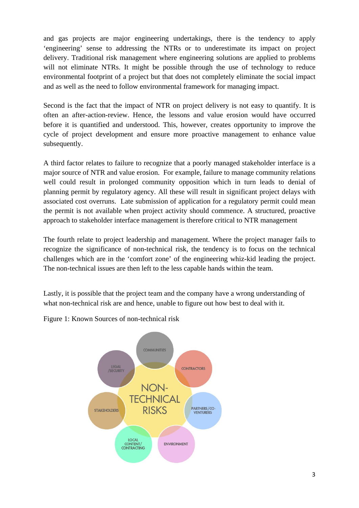and gas projects are major engineering undertakings, there is the tendency to apply 'engineering' sense to addressing the NTRs or to underestimate its impact on project delivery. Traditional risk management where engineering solutions are applied to problems will not eliminate NTRs. It might be possible through the use of technology to reduce environmental footprint of a project but that does not completely eliminate the social impact and as well as the need to follow environmental framework for managing impact.

Second is the fact that the impact of NTR on project delivery is not easy to quantify. It is often an after-action-review. Hence, the lessons and value erosion would have occurred before it is quantified and understood. This, however, creates opportunity to improve the cycle of project development and ensure more proactive management to enhance value subsequently.

A third factor relates to failure to recognize that a poorly managed stakeholder interface is a major source of NTR and value erosion. For example, failure to manage community relations well could result in prolonged community opposition which in turn leads to denial of planning permit by regulatory agency. All these will result in significant project delays with associated cost overruns. Late submission of application for a regulatory permit could mean the permit is not available when project activity should commence. A structured, proactive approach to stakeholder interface management is therefore critical to NTR management

The fourth relate to project leadership and management. Where the project manager fails to recognize the significance of non-technical risk, the tendency is to focus on the technical challenges which are in the 'comfort zone' of the engineering whiz-kid leading the project. The non-technical issues are then left to the less capable hands within the team.

Lastly, it is possible that the project team and the company have a wrong understanding of what non-technical risk are and hence, unable to figure out how best to deal with it.

Figure 1: Known Sources of non-technical risk

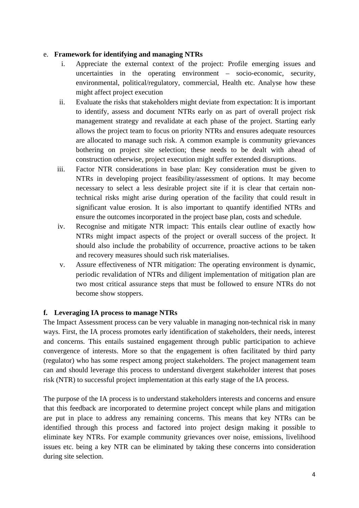### e. **Framework for identifying and managing NTRs**

- i. Appreciate the external context of the project: Profile emerging issues and uncertainties in the operating environment – socio-economic, security, environmental, political/regulatory, commercial, Health etc. Analyse how these might affect project execution
- ii. Evaluate the risks that stakeholders might deviate from expectation: It is important to identify, assess and document NTRs early on as part of overall project risk management strategy and revalidate at each phase of the project. Starting early allows the project team to focus on priority NTRs and ensures adequate resources are allocated to manage such risk. A common example is community grievances bothering on project site selection; these needs to be dealt with ahead of construction otherwise, project execution might suffer extended disruptions.
- iii. Factor NTR considerations in base plan: Key consideration must be given to NTRs in developing project feasibility/assessment of options. It may become necessary to select a less desirable project site if it is clear that certain nontechnical risks might arise during operation of the facility that could result in significant value erosion. It is also important to quantify identified NTRs and ensure the outcomes incorporated in the project base plan, costs and schedule.
- iv. Recognise and mitigate NTR impact: This entails clear outline of exactly how NTRs might impact aspects of the project or overall success of the project. It should also include the probability of occurrence, proactive actions to be taken and recovery measures should such risk materialises.
- v. Assure effectiveness of NTR mitigation: The operating environment is dynamic, periodic revalidation of NTRs and diligent implementation of mitigation plan are two most critical assurance steps that must be followed to ensure NTRs do not become show stoppers.

# **f. Leveraging IA process to manage NTRs**

The Impact Assessment process can be very valuable in managing non-technical risk in many ways. First, the IA process promotes early identification of stakeholders, their needs, interest and concerns. This entails sustained engagement through public participation to achieve convergence of interests. More so that the engagement is often facilitated by third party (regulator) who has some respect among project stakeholders. The project management team can and should leverage this process to understand divergent stakeholder interest that poses risk (NTR) to successful project implementation at this early stage of the IA process.

The purpose of the IA process is to understand stakeholders interests and concerns and ensure that this feedback are incorporated to determine project concept while plans and mitigation are put in place to address any remaining concerns. This means that key NTRs can be identified through this process and factored into project design making it possible to eliminate key NTRs. For example community grievances over noise, emissions, livelihood issues etc. being a key NTR can be eliminated by taking these concerns into consideration during site selection.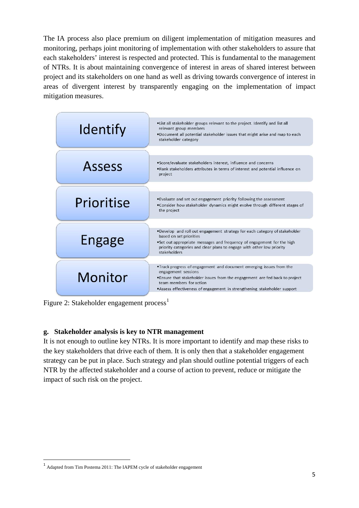The IA process also place premium on diligent implementation of mitigation measures and monitoring, perhaps joint monitoring of implementation with other stakeholders to assure that each stakeholders' interest is respected and protected. This is fundamental to the management of NTRs. It is about maintaining convergence of interest in areas of shared interest between project and its stakeholders on one hand as well as driving towards convergence of interest in areas of divergent interest by transparently engaging on the implementation of impact mitigation measures.

| <b>Identify</b> | . List all stakeholder groups relevant to the project. Identify and list all<br>relevant group members<br>.Document all potential stakeholder issues that might arise and map to each<br>stakeholder category                                                                     |  |  |
|-----------------|-----------------------------------------------------------------------------------------------------------------------------------------------------------------------------------------------------------------------------------------------------------------------------------|--|--|
| <b>Assess</b>   | •Score/evaluate stakeholders interest, influence and concerns<br>.Rank stakeholders attributes in terms of interest and potential influence on<br>project                                                                                                                         |  |  |
| Prioritise      | . Evaluate and set out engagement priority following the assessment<br>• Consider how stakeholder dynamics might evolve through different stages of<br>the project                                                                                                                |  |  |
| Engage          | .Develop and roll out engagement strategy for each category of stakeholder<br>based on set priorities<br>•Set out appropriate messages and frequency of engagement for the high<br>priority categories and clear plans to engage with other low priority<br>stakeholders          |  |  |
| Monitor         | . Track progress of engagement and document emerging issues from the<br>engagement sessions<br>•Ensure that stakeholder issues from the engagement are fed back to project<br>team members for action<br>•Assess effectiveness of engagement in strengthening stakeholder support |  |  |

Figure 2: Stakeholder engagement process<sup>[1](#page-4-0)</sup>

### **g. Stakeholder analysis is key to NTR management**

It is not enough to outline key NTRs. It is more important to identify and map these risks to the key stakeholders that drive each of them. It is only then that a stakeholder engagement strategy can be put in place. Such strategy and plan should outline potential triggers of each NTR by the affected stakeholder and a course of action to prevent, reduce or mitigate the impact of such risk on the project.

<span id="page-4-0"></span> <sup>1</sup> Adapted from Tim Postema 2011: The IAPEM cycle of stakeholder engagement